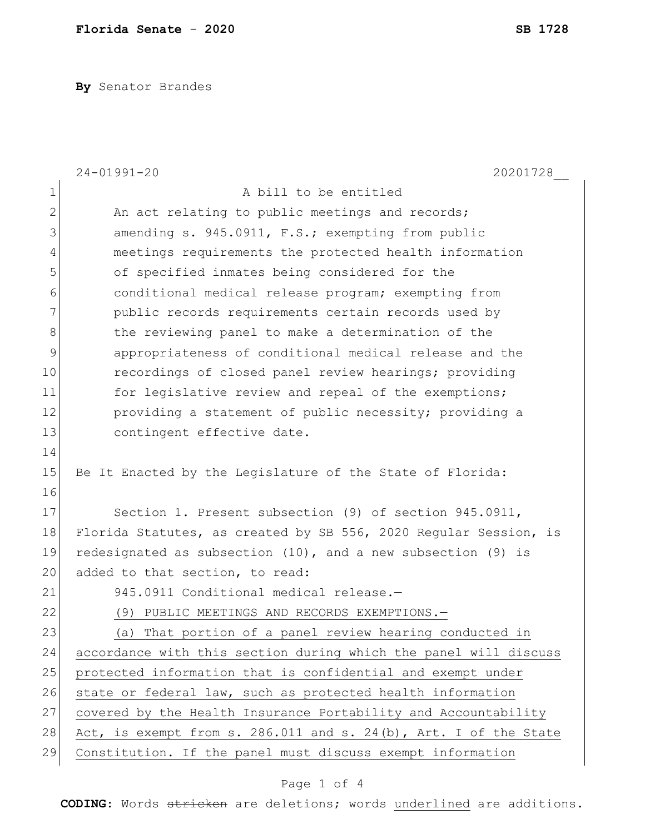**By** Senator Brandes

|                | $24 - 01991 - 20$<br>20201728                                     |
|----------------|-------------------------------------------------------------------|
| 1              | A bill to be entitled                                             |
| $\overline{2}$ | An act relating to public meetings and records;                   |
| 3              | amending s. 945.0911, F.S.; exempting from public                 |
| 4              | meetings requirements the protected health information            |
| 5              | of specified inmates being considered for the                     |
| 6              | conditional medical release program; exempting from               |
| 7              | public records requirements certain records used by               |
| 8              | the reviewing panel to make a determination of the                |
| 9              | appropriateness of conditional medical release and the            |
| 10             | recordings of closed panel review hearings; providing             |
| 11             | for legislative review and repeal of the exemptions;              |
| 12             | providing a statement of public necessity; providing a            |
| 13             | contingent effective date.                                        |
| 14             |                                                                   |
| 15             | Be It Enacted by the Legislature of the State of Florida:         |
| 16             |                                                                   |
| 17             | Section 1. Present subsection (9) of section 945.0911,            |
| 18             | Florida Statutes, as created by SB 556, 2020 Regular Session, is  |
| 19             | redesignated as subsection $(10)$ , and a new subsection $(9)$ is |
| 20             | added to that section, to read:                                   |
| 21             | 945.0911 Conditional medical release.-                            |
| 22             | (9)<br>PUBLIC MEETINGS AND RECORDS EXEMPTIONS.-                   |
| 23             | That portion of a panel review hearing conducted in<br>(a)        |
| 24             | accordance with this section during which the panel will discuss  |
| 25             | protected information that is confidential and exempt under       |
| 26             | state or federal law, such as protected health information        |
| 27             | covered by the Health Insurance Portability and Accountability    |
| 28             | Act, is exempt from s. 286.011 and s. 24(b), Art. I of the State  |
| 29             | Constitution. If the panel must discuss exempt information        |

## Page 1 of 4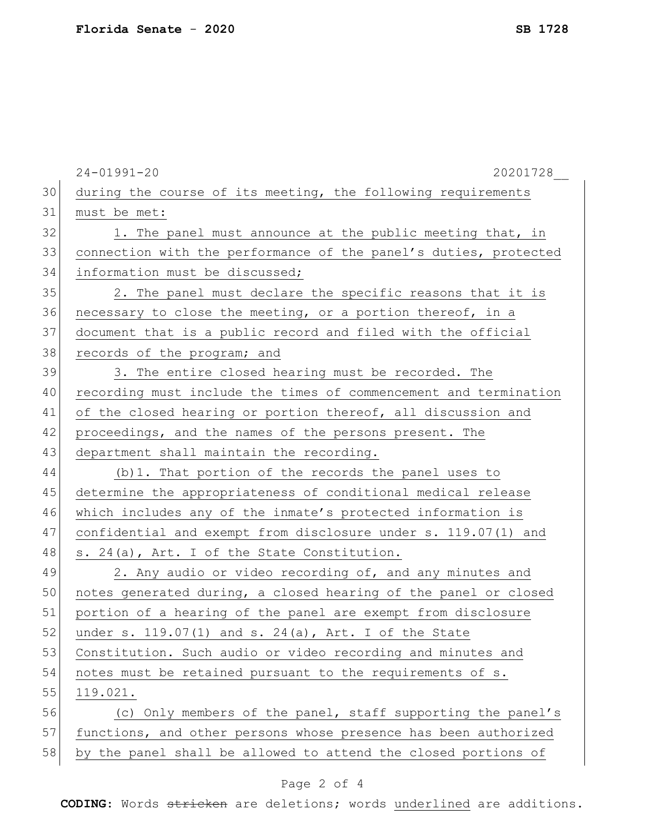|    | $24 - 01991 - 20$<br>20201728                                    |
|----|------------------------------------------------------------------|
| 30 | during the course of its meeting, the following requirements     |
| 31 | must be met:                                                     |
| 32 | 1. The panel must announce at the public meeting that, in        |
| 33 | connection with the performance of the panel's duties, protected |
| 34 | information must be discussed;                                   |
| 35 | 2. The panel must declare the specific reasons that it is        |
| 36 | necessary to close the meeting, or a portion thereof, in a       |
| 37 | document that is a public record and filed with the official     |
| 38 | records of the program; and                                      |
| 39 | 3. The entire closed hearing must be recorded. The               |
| 40 | recording must include the times of commencement and termination |
| 41 | of the closed hearing or portion thereof, all discussion and     |
| 42 | proceedings, and the names of the persons present. The           |
| 43 | department shall maintain the recording.                         |
| 44 | (b) 1. That portion of the records the panel uses to             |
| 45 | determine the appropriateness of conditional medical release     |
| 46 | which includes any of the inmate's protected information is      |
| 47 | confidential and exempt from disclosure under s. 119.07(1) and   |
| 48 | s. 24(a), Art. I of the State Constitution.                      |
| 49 | 2. Any audio or video recording of, and any minutes and          |
| 50 | notes generated during, a closed hearing of the panel or closed  |
| 51 | portion of a hearing of the panel are exempt from disclosure     |
| 52 | under s. 119.07(1) and s. 24(a), Art. I of the State             |
| 53 | Constitution. Such audio or video recording and minutes and      |
| 54 | notes must be retained pursuant to the requirements of s.        |
| 55 | 119.021.                                                         |
| 56 | (c) Only members of the panel, staff supporting the panel's      |
| 57 | functions, and other persons whose presence has been authorized  |
| 58 | by the panel shall be allowed to attend the closed portions of   |

## Page 2 of 4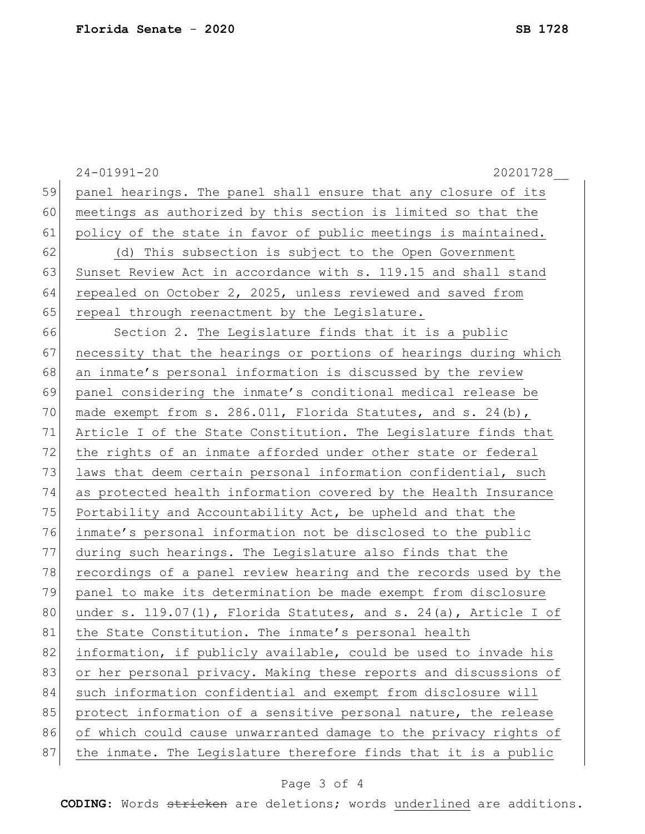|    | $24 - 01991 - 20$<br>20201728                                    |
|----|------------------------------------------------------------------|
| 59 | panel hearings. The panel shall ensure that any closure of its   |
| 60 | meetings as authorized by this section is limited so that the    |
| 61 | policy of the state in favor of public meetings is maintained.   |
| 62 | (d) This subsection is subject to the Open Government            |
| 63 | Sunset Review Act in accordance with s. 119.15 and shall stand   |
| 64 | repealed on October 2, 2025, unless reviewed and saved from      |
| 65 | repeal through reenactment by the Legislature.                   |
| 66 | Section 2. The Legislature finds that it is a public             |
| 67 | necessity that the hearings or portions of hearings during which |
| 68 | an inmate's personal information is discussed by the review      |
| 69 | panel considering the inmate's conditional medical release be    |
| 70 | made exempt from s. 286.011, Florida Statutes, and s. 24(b),     |
| 71 | Article I of the State Constitution. The Legislature finds that  |
| 72 | the rights of an inmate afforded under other state or federal    |
| 73 | laws that deem certain personal information confidential, such   |
| 74 | as protected health information covered by the Health Insurance  |
| 75 | Portability and Accountability Act, be upheld and that the       |
| 76 | inmate's personal information not be disclosed to the public     |
| 77 | during such hearings. The Legislature also finds that the        |
| 78 | recordings of a panel review hearing and the records used by the |
| 79 | panel to make its determination be made exempt from disclosure   |
| 80 | under s. 119.07(1), Florida Statutes, and s. 24(a), Article I of |
| 81 | the State Constitution. The inmate's personal health             |
| 82 | information, if publicly available, could be used to invade his  |
| 83 | or her personal privacy. Making these reports and discussions of |
| 84 | such information confidential and exempt from disclosure will    |
| 85 | protect information of a sensitive personal nature, the release  |
| 86 | of which could cause unwarranted damage to the privacy rights of |
| 87 | the inmate. The Legislature therefore finds that it is a public  |
|    |                                                                  |

## Page 3 of 4